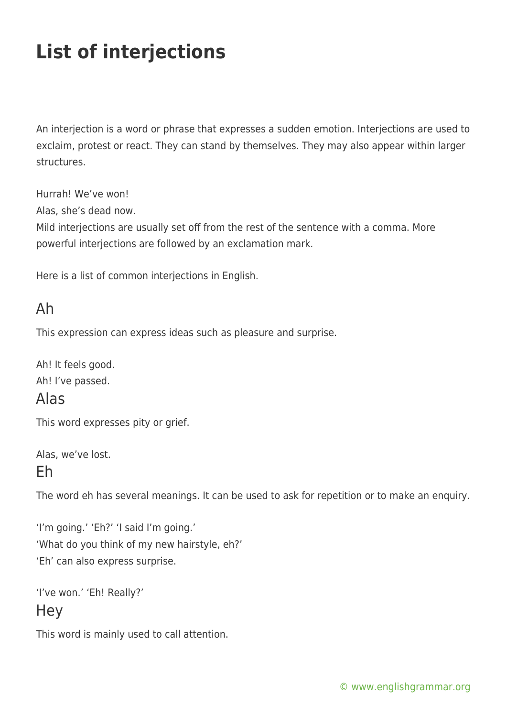# **List of interjections**

An interjection is a word or phrase that expresses a sudden emotion. Interjections are used to exclaim, protest or react. They can stand by themselves. They may also appear within larger structures.

Hurrah! We've won!

Alas, she's dead now.

Mild interjections are usually set off from the rest of the sentence with a comma. More powerful interjections are followed by an exclamation mark.

Here is a list of common interjections in English.

### Ah

This expression can express ideas such as pleasure and surprise.

Ah! It feels good. Ah! I've passed.

### Alas

This word expresses pity or grief.

Alas, we've lost.

#### Eh

The word eh has several meanings. It can be used to ask for repetition or to make an enquiry.

'I'm going.' 'Eh?' 'I said I'm going.' 'What do you think of my new hairstyle, eh?' 'Eh' can also express surprise.

```
'I've won.' 'Eh! Really?'
Hey
```
This word is mainly used to call attention.